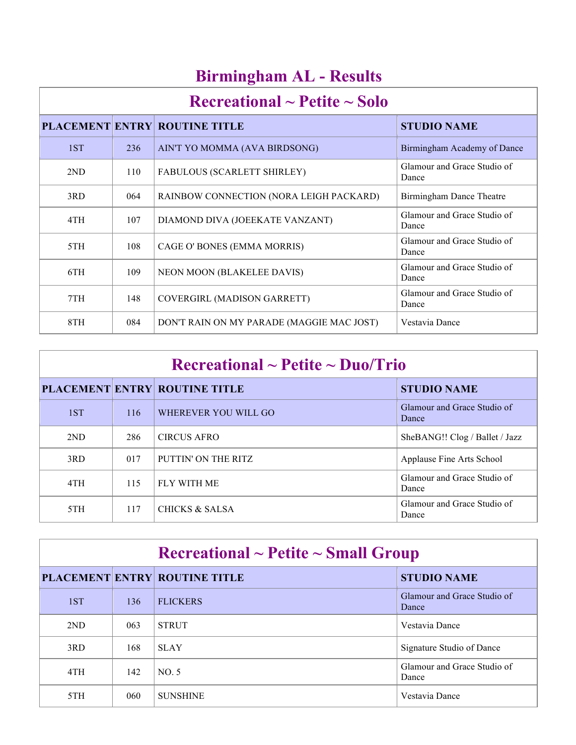| <b>Birmingham AL - Results</b> |                                           |                                           |                                      |  |  |
|--------------------------------|-------------------------------------------|-------------------------------------------|--------------------------------------|--|--|
|                                | $\rm Recreational \sim Peitite \sim Solo$ |                                           |                                      |  |  |
|                                |                                           | <b>PLACEMENT ENTRY ROUTINE TITLE</b>      | <b>STUDIO NAME</b>                   |  |  |
| 1ST                            | 236                                       | AIN'T YO MOMMA (AVA BIRDSONG)             | Birmingham Academy of Dance          |  |  |
| 2ND                            | 110                                       | FABULOUS (SCARLETT SHIRLEY)               | Glamour and Grace Studio of<br>Dance |  |  |
| 3RD                            | 064                                       | RAINBOW CONNECTION (NORA LEIGH PACKARD)   | Birmingham Dance Theatre             |  |  |
| 4TH                            | 107                                       | DIAMOND DIVA (JOEEKATE VANZANT)           | Glamour and Grace Studio of<br>Dance |  |  |
| 5TH                            | 108                                       | CAGE O' BONES (EMMA MORRIS)               | Glamour and Grace Studio of<br>Dance |  |  |
| 6TH                            | 109                                       | NEON MOON (BLAKELEE DAVIS)                | Glamour and Grace Studio of<br>Dance |  |  |
| 7TH                            | 148                                       | <b>COVERGIRL (MADISON GARRETT)</b>        | Glamour and Grace Studio of<br>Dance |  |  |
| 8TH                            | 084                                       | DON'T RAIN ON MY PARADE (MAGGIE MAC JOST) | Vestavia Dance                       |  |  |

| $\rm Recreational \sim Petite \sim Duo/Trio$ |     |                                      |                                      |  |
|----------------------------------------------|-----|--------------------------------------|--------------------------------------|--|
|                                              |     | <b>PLACEMENT ENTRY ROUTINE TITLE</b> | <b>STUDIO NAME</b>                   |  |
| 1ST                                          | 116 | WHEREVER YOU WILL GO                 | Glamour and Grace Studio of<br>Dance |  |
| 2ND                                          | 286 | CIRCUS AFRO                          | SheBANG!! Clog / Ballet / Jazz       |  |
| 3RD                                          | 017 | PUTTIN' ON THE RITZ                  | Applause Fine Arts School            |  |
| 4TH                                          | 115 | <b>FLY WITH ME</b>                   | Glamour and Grace Studio of<br>Dance |  |
| 5TH                                          | 117 | CHICKS & SALSA                       | Glamour and Grace Studio of<br>Dance |  |

| $\rm Recreational \sim Petite \sim Small~Group$ |     |                                      |                                      |  |
|-------------------------------------------------|-----|--------------------------------------|--------------------------------------|--|
|                                                 |     | <b>PLACEMENT ENTRY ROUTINE TITLE</b> | <b>STUDIO NAME</b>                   |  |
| 1ST                                             | 136 | <b>FLICKERS</b>                      | Glamour and Grace Studio of<br>Dance |  |
| 2ND                                             | 063 | <b>STRUT</b>                         | Vestavia Dance                       |  |
| 3RD                                             | 168 | <b>SLAY</b>                          | Signature Studio of Dance            |  |
| 4TH                                             | 142 | NO.5                                 | Glamour and Grace Studio of<br>Dance |  |
| 5TH                                             | 060 | <b>SUNSHINE</b>                      | Vestavia Dance                       |  |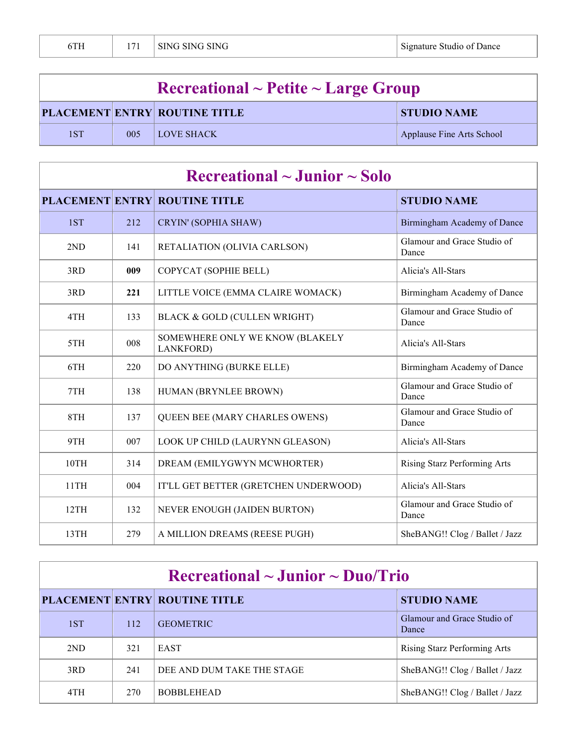| 6TH |  | SING SING SING | Signature Studio of Dance |
|-----|--|----------------|---------------------------|
|-----|--|----------------|---------------------------|

| $\rm Recreational \sim Peitite \sim Large \,\, Group$ |     |                                      |                           |
|-------------------------------------------------------|-----|--------------------------------------|---------------------------|
|                                                       |     | <b>PLACEMENT ENTRY ROUTINE TITLE</b> | <b>STUDIO NAME</b>        |
| 1ST                                                   | 005 | <b>LOVE SHACK</b>                    | Applause Fine Arts School |

| $\rm Recreational \sim Junior \sim Solo$ |     |                                              |                                      |
|------------------------------------------|-----|----------------------------------------------|--------------------------------------|
|                                          |     | <b>PLACEMENT ENTRY ROUTINE TITLE</b>         | <b>STUDIO NAME</b>                   |
| 1ST                                      | 212 | CRYIN' (SOPHIA SHAW)                         | Birmingham Academy of Dance          |
| 2ND                                      | 141 | RETALIATION (OLIVIA CARLSON)                 | Glamour and Grace Studio of<br>Dance |
| 3RD                                      | 009 | COPYCAT (SOPHIE BELL)                        | Alicia's All-Stars                   |
| 3RD                                      | 221 | LITTLE VOICE (EMMA CLAIRE WOMACK)            | Birmingham Academy of Dance          |
| 4TH                                      | 133 | BLACK & GOLD (CULLEN WRIGHT)                 | Glamour and Grace Studio of<br>Dance |
| 5TH                                      | 008 | SOMEWHERE ONLY WE KNOW (BLAKELY<br>LANKFORD) | Alicia's All-Stars                   |
| 6TH                                      | 220 | DO ANYTHING (BURKE ELLE)                     | Birmingham Academy of Dance          |
| 7TH                                      | 138 | HUMAN (BRYNLEE BROWN)                        | Glamour and Grace Studio of<br>Dance |
| 8TH                                      | 137 | <b>QUEEN BEE (MARY CHARLES OWENS)</b>        | Glamour and Grace Studio of<br>Dance |
| 9TH                                      | 007 | LOOK UP CHILD (LAURYNN GLEASON)              | Alicia's All-Stars                   |
| 10TH                                     | 314 | DREAM (EMILYGWYN MCWHORTER)                  | <b>Rising Starz Performing Arts</b>  |
| 11TH                                     | 004 | IT'LL GET BETTER (GRETCHEN UNDERWOOD)        | Alicia's All-Stars                   |
| 12TH                                     | 132 | NEVER ENOUGH (JAIDEN BURTON)                 | Glamour and Grace Studio of<br>Dance |
| 13TH                                     | 279 | A MILLION DREAMS (REESE PUGH)                | SheBANG!! Clog / Ballet / Jazz       |

| $\rm Recreational \sim J$ unior ~ Duo/Trio |     |                                      |                                      |  |
|--------------------------------------------|-----|--------------------------------------|--------------------------------------|--|
|                                            |     | <b>PLACEMENT ENTRY ROUTINE TITLE</b> | <b>STUDIO NAME</b>                   |  |
| 1ST                                        | 112 | <b>GEOMETRIC</b>                     | Glamour and Grace Studio of<br>Dance |  |
| 2ND                                        | 321 | <b>EAST</b>                          | <b>Rising Starz Performing Arts</b>  |  |
| 3RD                                        | 241 | DEE AND DUM TAKE THE STAGE           | SheBANG!! Clog / Ballet / Jazz       |  |
| 4TH                                        | 270 | <b>BOBBLEHEAD</b>                    | SheBANG!! Clog / Ballet / Jazz       |  |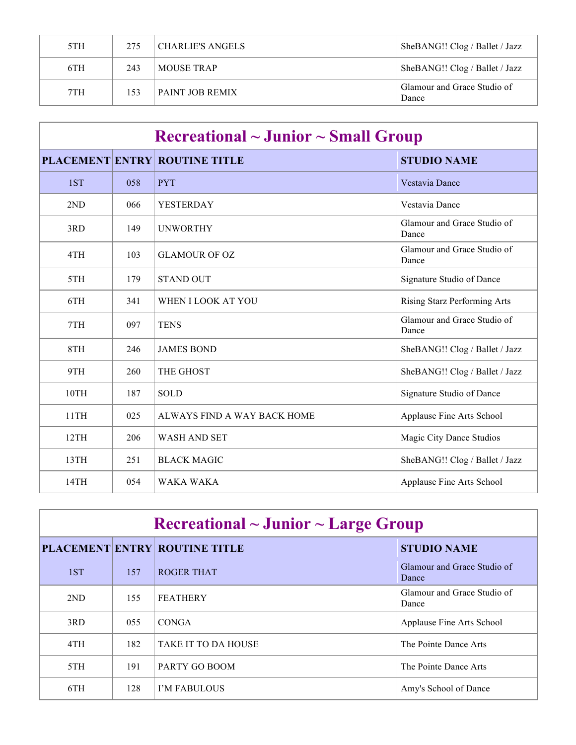| 5TH | 275 | <b>CHARLIE'S ANGELS</b> | SheBANG!! Clog / Ballet / Jazz       |
|-----|-----|-------------------------|--------------------------------------|
| 6TH | 243 | <b>MOUSE TRAP</b>       | SheBANG!! Clog / Ballet / Jazz       |
| 7TH | 153 | PAINT JOB REMIX         | Glamour and Grace Studio of<br>Dance |

| $\rm Recreational \sim Junior \sim Small~Group$ |     |                                      |                                      |
|-------------------------------------------------|-----|--------------------------------------|--------------------------------------|
|                                                 |     | <b>PLACEMENT ENTRY ROUTINE TITLE</b> | <b>STUDIO NAME</b>                   |
| 1ST                                             | 058 | <b>PYT</b>                           | Vestavia Dance                       |
| 2ND                                             | 066 | <b>YESTERDAY</b>                     | Vestavia Dance                       |
| 3RD                                             | 149 | <b>UNWORTHY</b>                      | Glamour and Grace Studio of<br>Dance |
| 4TH                                             | 103 | <b>GLAMOUR OF OZ</b>                 | Glamour and Grace Studio of<br>Dance |
| 5TH                                             | 179 | <b>STAND OUT</b>                     | Signature Studio of Dance            |
| 6TH                                             | 341 | WHEN I LOOK AT YOU                   | Rising Starz Performing Arts         |
| 7TH                                             | 097 | <b>TENS</b>                          | Glamour and Grace Studio of<br>Dance |
| 8TH                                             | 246 | <b>JAMES BOND</b>                    | SheBANG!! Clog / Ballet / Jazz       |
| 9TH                                             | 260 | THE GHOST                            | SheBANG!! Clog / Ballet / Jazz       |
| 10TH                                            | 187 | <b>SOLD</b>                          | Signature Studio of Dance            |
| 11TH                                            | 025 | ALWAYS FIND A WAY BACK HOME          | Applause Fine Arts School            |
| 12TH                                            | 206 | <b>WASH AND SET</b>                  | Magic City Dance Studios             |
| 13TH                                            | 251 | <b>BLACK MAGIC</b>                   | SheBANG!! Clog / Ballet / Jazz       |
| 14TH                                            | 054 | WAKA WAKA                            | Applause Fine Arts School            |

| Recreational $\sim$ Junior $\sim$ Large Group |     |                                      |                                      |  |
|-----------------------------------------------|-----|--------------------------------------|--------------------------------------|--|
|                                               |     | <b>PLACEMENT ENTRY ROUTINE TITLE</b> | <b>STUDIO NAME</b>                   |  |
| 1ST                                           | 157 | <b>ROGER THAT</b>                    | Glamour and Grace Studio of<br>Dance |  |
| 2ND                                           | 155 | <b>FEATHERY</b>                      | Glamour and Grace Studio of<br>Dance |  |
| 3RD                                           | 055 | <b>CONGA</b>                         | Applause Fine Arts School            |  |
| 4TH                                           | 182 | TAKE IT TO DA HOUSE                  | The Pointe Dance Arts                |  |
| 5TH                                           | 191 | PARTY GO BOOM                        | The Pointe Dance Arts                |  |
| 6TH                                           | 128 | I'M FABULOUS                         | Amy's School of Dance                |  |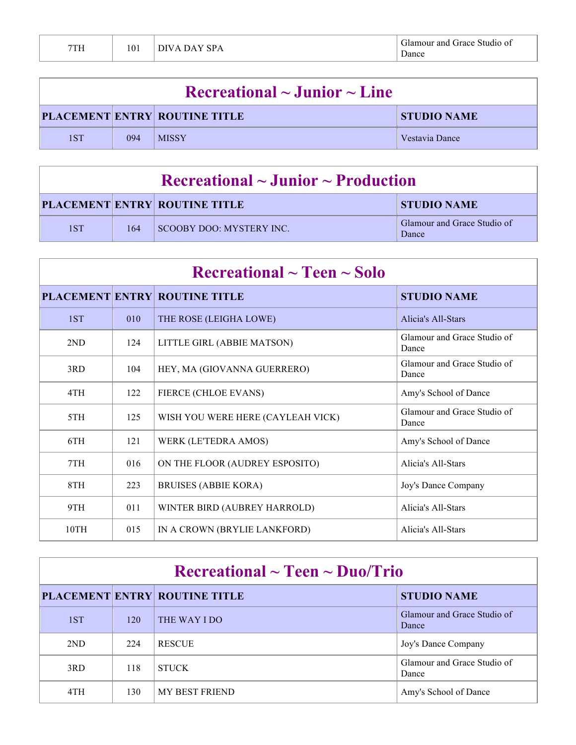| 7TH | 101 | DIVA DAY SPA | <sup>1</sup> Glamour and Grace Studio of<br>Dance |
|-----|-----|--------------|---------------------------------------------------|
|-----|-----|--------------|---------------------------------------------------|

| $\Gamma$ Recreational ~ Junior ~ Line |     |                                      |                    |  |
|---------------------------------------|-----|--------------------------------------|--------------------|--|
|                                       |     | <b>PLACEMENT ENTRY ROUTINE TITLE</b> | <b>STUDIO NAME</b> |  |
| 1ST                                   | 094 | MISSY                                | l Vestavia Dance   |  |

| $\Gamma$ Recreational $\sim$ Junior $\sim$ Production |     |                                 |                                      |
|-------------------------------------------------------|-----|---------------------------------|--------------------------------------|
|                                                       |     | PLACEMENT ENTRY ROUTINE TITLE   | <b>STUDIO NAME</b>                   |
| 1ST                                                   | 164 | $\mid$ SCOOBY DOO: MYSTERY INC. | Glamour and Grace Studio of<br>Dance |

| $\rm Recreational \sim Teen \sim Solo$ |     |                                      |                                      |
|----------------------------------------|-----|--------------------------------------|--------------------------------------|
|                                        |     | <b>PLACEMENT ENTRY ROUTINE TITLE</b> | <b>STUDIO NAME</b>                   |
| 1ST                                    | 010 | THE ROSE (LEIGHA LOWE)               | Alicia's All-Stars                   |
| 2ND                                    | 124 | LITTLE GIRL (ABBIE MATSON)           | Glamour and Grace Studio of<br>Dance |
| 3RD                                    | 104 | HEY, MA (GIOVANNA GUERRERO)          | Glamour and Grace Studio of<br>Dance |
| 4TH                                    | 122 | FIERCE (CHLOE EVANS)                 | Amy's School of Dance                |
| 5TH                                    | 125 | WISH YOU WERE HERE (CAYLEAH VICK)    | Glamour and Grace Studio of<br>Dance |
| 6TH                                    | 121 | WERK (LE'TEDRA AMOS)                 | Amy's School of Dance                |
| 7TH                                    | 016 | ON THE FLOOR (AUDREY ESPOSITO)       | Alicia's All-Stars                   |
| 8TH                                    | 223 | <b>BRUISES (ABBIE KORA)</b>          | Joy's Dance Company                  |
| 9TH                                    | 011 | WINTER BIRD (AUBREY HARROLD)         | Alicia's All-Stars                   |
| 10TH                                   | 015 | IN A CROWN (BRYLIE LANKFORD)         | Alicia's All-Stars                   |

| $\rm Recreational \sim Teen \sim Duo/Trio$ |     |                                      |                                      |  |
|--------------------------------------------|-----|--------------------------------------|--------------------------------------|--|
|                                            |     | <b>PLACEMENT ENTRY ROUTINE TITLE</b> | <b>STUDIO NAME</b>                   |  |
| 1ST                                        | 120 | THE WAY I DO                         | Glamour and Grace Studio of<br>Dance |  |
| 2ND                                        | 224 | <b>RESCUE</b>                        | Joy's Dance Company                  |  |
| 3RD                                        | 118 | <b>STUCK</b>                         | Glamour and Grace Studio of<br>Dance |  |
| 4TH                                        | 130 | <b>MY BEST FRIEND</b>                | Amy's School of Dance                |  |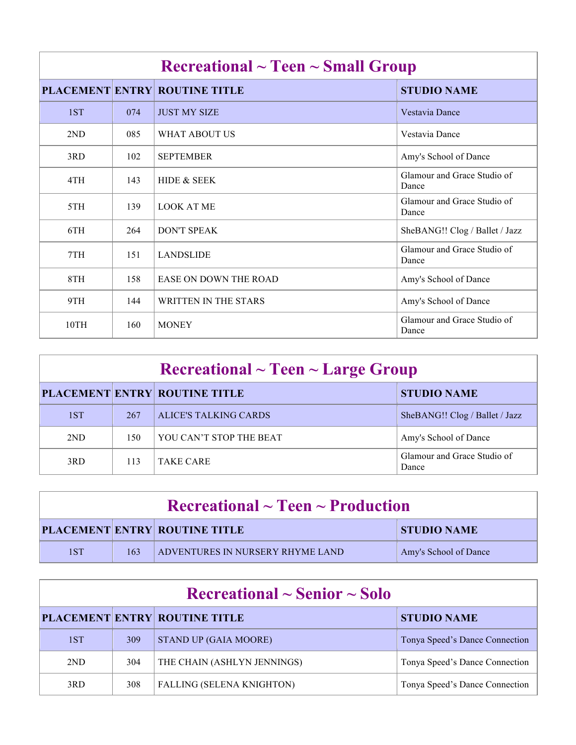| $\rm Recreational \sim Teen \sim Small~Group$ |     |                                      |                                      |
|-----------------------------------------------|-----|--------------------------------------|--------------------------------------|
|                                               |     | <b>PLACEMENT ENTRY ROUTINE TITLE</b> | <b>STUDIO NAME</b>                   |
| 1ST                                           | 074 | <b>JUST MY SIZE</b>                  | Vestavia Dance                       |
| 2ND                                           | 085 | WHAT ABOUT US                        | Vestavia Dance                       |
| 3RD                                           | 102 | <b>SEPTEMBER</b>                     | Amy's School of Dance                |
| 4TH                                           | 143 | <b>HIDE &amp; SEEK</b>               | Glamour and Grace Studio of<br>Dance |
| 5TH                                           | 139 | <b>LOOK AT ME</b>                    | Glamour and Grace Studio of<br>Dance |
| 6TH                                           | 264 | <b>DON'T SPEAK</b>                   | SheBANG!! Clog / Ballet / Jazz       |
| 7TH                                           | 151 | <b>LANDSLIDE</b>                     | Glamour and Grace Studio of<br>Dance |
| 8TH                                           | 158 | <b>EASE ON DOWN THE ROAD</b>         | Amy's School of Dance                |
| 9TH                                           | 144 | <b>WRITTEN IN THE STARS</b>          | Amy's School of Dance                |
| 10TH                                          | 160 | <b>MONEY</b>                         | Glamour and Grace Studio of<br>Dance |

| $\rm Recreational \sim Teen \sim Large\ Group$ |     |                                      |                                      |
|------------------------------------------------|-----|--------------------------------------|--------------------------------------|
|                                                |     | <b>PLACEMENT ENTRY ROUTINE TITLE</b> | <b>STUDIO NAME</b>                   |
| 1ST                                            | 267 | ALICE'S TALKING CARDS                | SheBANG!! Clog / Ballet / Jazz       |
| 2ND                                            | 150 | YOU CAN'T STOP THE BEAT              | Amy's School of Dance                |
| 3RD                                            | 113 | <b>TAKE CARE</b>                     | Glamour and Grace Studio of<br>Dance |

| $\rm Recreational \sim Teen \sim Production$ |     |                                      |                       |
|----------------------------------------------|-----|--------------------------------------|-----------------------|
|                                              |     | <b>PLACEMENT ENTRY ROUTINE TITLE</b> | <b>STUDIO NAME</b>    |
| 1ST                                          | 163 | ADVENTURES IN NURSERY RHYME LAND     | Amy's School of Dance |

| $\rm Recreational \sim Senior \sim Solo$ |     |                                      |                                |
|------------------------------------------|-----|--------------------------------------|--------------------------------|
|                                          |     | <b>PLACEMENT ENTRY ROUTINE TITLE</b> | <b>STUDIO NAME</b>             |
| 1ST                                      | 309 | STAND UP (GAIA MOORE)                | Tonya Speed's Dance Connection |
| 2ND                                      | 304 | THE CHAIN (ASHLYN JENNINGS)          | Tonya Speed's Dance Connection |
| 3RD                                      | 308 | <b>FALLING (SELENA KNIGHTON)</b>     | Tonya Speed's Dance Connection |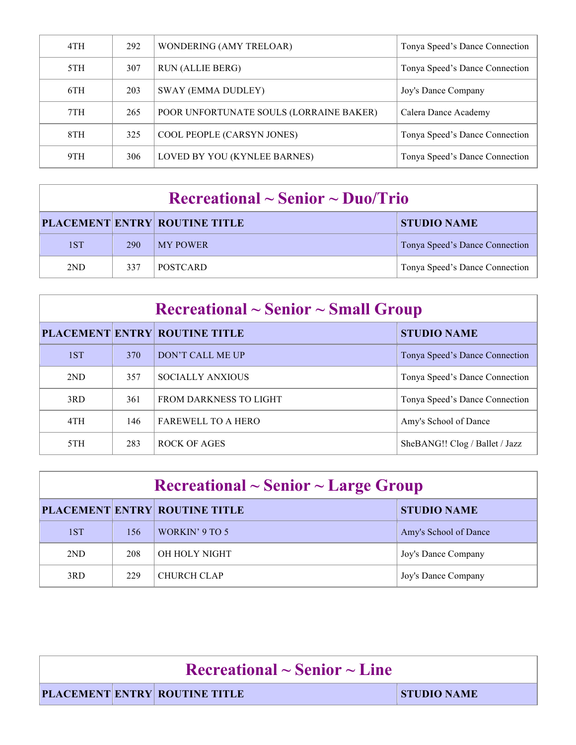| 4TH | 292 | <b>WONDERING (AMY TRELOAR)</b>          | Tonya Speed's Dance Connection |
|-----|-----|-----------------------------------------|--------------------------------|
| 5TH | 307 | <b>RUN (ALLIE BERG)</b>                 | Tonya Speed's Dance Connection |
| 6TH | 203 | <b>SWAY (EMMA DUDLEY)</b>               | Joy's Dance Company            |
| 7TH | 265 | POOR UNFORTUNATE SOULS (LORRAINE BAKER) | Calera Dance Academy           |
| 8TH | 325 | <b>COOL PEOPLE (CARSYN JONES)</b>       | Tonya Speed's Dance Connection |
| 9TH | 306 | LOVED BY YOU (KYNLEE BARNES)            | Tonya Speed's Dance Connection |

| $\rm Recreational \sim Senior \sim Duo/Trio$ |            |                                      |                                |  |
|----------------------------------------------|------------|--------------------------------------|--------------------------------|--|
|                                              |            | <b>PLACEMENT ENTRY ROUTINE TITLE</b> | <b>STUDIO NAME</b>             |  |
| 1ST                                          | <b>290</b> | MY POWER                             | Tonya Speed's Dance Connection |  |
| 2ND                                          | 337        | <b>POSTCARD</b>                      | Tonya Speed's Dance Connection |  |

| $\rm Recreational \sim Senior \sim Small\,\, Group$ |     |                                      |                                |
|-----------------------------------------------------|-----|--------------------------------------|--------------------------------|
|                                                     |     | <b>PLACEMENT ENTRY ROUTINE TITLE</b> | <b>STUDIO NAME</b>             |
| 1ST                                                 | 370 | DON'T CALL ME UP                     | Tonya Speed's Dance Connection |
| 2ND                                                 | 357 | SOCIALLY ANXIOUS                     | Tonya Speed's Dance Connection |
| 3RD                                                 | 361 | <b>FROM DARKNESS TO LIGHT</b>        | Tonya Speed's Dance Connection |
| 4TH                                                 | 146 | <b>FAREWELL TO A HERO</b>            | Amy's School of Dance          |
| 5TH                                                 | 283 | <b>ROCK OF AGES</b>                  | SheBANG!! Clog / Ballet / Jazz |

| $\textbf{Recretional} \sim \textbf{Senior} \sim \textbf{Large Group}$ |     |                                      |                       |  |
|-----------------------------------------------------------------------|-----|--------------------------------------|-----------------------|--|
|                                                                       |     | <b>PLACEMENT ENTRY ROUTINE TITLE</b> | <b>STUDIO NAME</b>    |  |
| 1ST                                                                   | 156 | WORKIN' 9 TO 5                       | Amy's School of Dance |  |
| 2ND                                                                   | 208 | OH HOLY NIGHT                        | Joy's Dance Company   |  |
| 3RD                                                                   | 229 | CHURCH CLAP                          | Joy's Dance Company   |  |

## **Recreational ~ Senior ~ Line PLACEMENT ENTRY ROUTINE TITLE STUDIO NAME**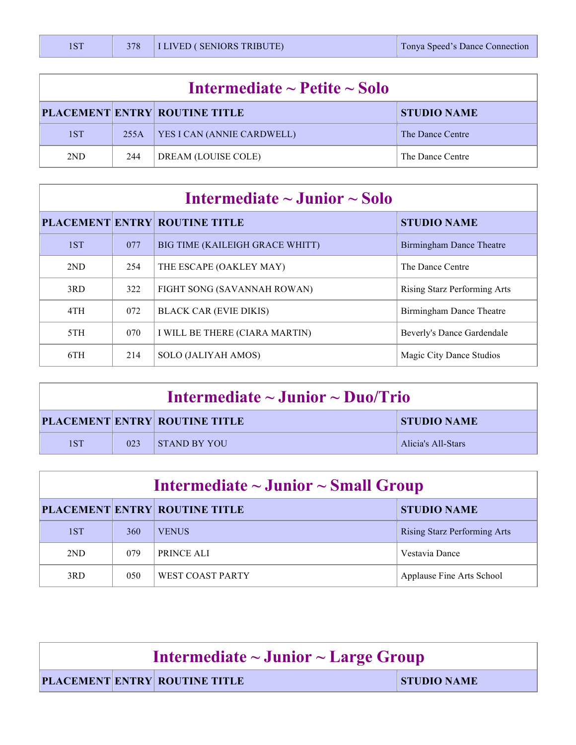|  |  | 378   I LIVED ( SENIORS TRIBUTE) | Tonya Speed's Dance Connection |
|--|--|----------------------------------|--------------------------------|
|--|--|----------------------------------|--------------------------------|

| Intermediate $\sim$ Petite $\sim$ Solo |      |                                      |                    |  |
|----------------------------------------|------|--------------------------------------|--------------------|--|
|                                        |      | <b>PLACEMENT ENTRY ROUTINE TITLE</b> | <b>STUDIO NAME</b> |  |
| 1ST                                    | 255A | <b>YES I CAN (ANNIE CARDWELL)</b>    | The Dance Centre   |  |
| 2ND                                    | 244  | DREAM (LOUISE COLE)                  | The Dance Centre   |  |

| Intermediate $\sim$ Junior $\sim$ Solo |     |                                      |                                     |
|----------------------------------------|-----|--------------------------------------|-------------------------------------|
|                                        |     | <b>PLACEMENT ENTRY ROUTINE TITLE</b> | <b>STUDIO NAME</b>                  |
| 1ST                                    | 077 | BIG TIME (KAILEIGH GRACE WHITT)      | Birmingham Dance Theatre            |
| 2ND                                    | 254 | THE ESCAPE (OAKLEY MAY)              | The Dance Centre                    |
| 3RD                                    | 322 | FIGHT SONG (SAVANNAH ROWAN)          | <b>Rising Starz Performing Arts</b> |
| 4TH                                    | 072 | <b>BLACK CAR (EVIE DIKIS)</b>        | Birmingham Dance Theatre            |
| 5TH                                    | 070 | I WILL BE THERE (CIARA MARTIN)       | Beverly's Dance Gardendale          |
| 6TH                                    | 214 | SOLO (JALIYAH AMOS)                  | Magic City Dance Studios            |

| Intermediate $\sim$ Junior $\sim$ Duo/Trio |     |                                      |                    |  |
|--------------------------------------------|-----|--------------------------------------|--------------------|--|
|                                            |     | <b>PLACEMENT ENTRY ROUTINE TITLE</b> | <b>STUDIO NAME</b> |  |
| 1ST                                        | 023 | <b>STAND BY YOU</b>                  | Alicia's All-Stars |  |

| Intermediate $\sim$ Junior $\sim$ Small Group |     |                                      |                                     |  |
|-----------------------------------------------|-----|--------------------------------------|-------------------------------------|--|
|                                               |     | <b>PLACEMENT ENTRY ROUTINE TITLE</b> | <b>STUDIO NAME</b>                  |  |
| 1ST                                           | 360 | <b>VENUS</b>                         | <b>Rising Starz Performing Arts</b> |  |
| 2ND                                           | 079 | PRINCE ALI                           | Vestavia Dance                      |  |
| 3RD                                           | 050 | WEST COAST PARTY                     | Applause Fine Arts School           |  |

| Intermediate $\sim$ Junior $\sim$ Large Group |  |                                      |                    |
|-----------------------------------------------|--|--------------------------------------|--------------------|
|                                               |  | <b>PLACEMENT ENTRY ROUTINE TITLE</b> | <b>STUDIO NAME</b> |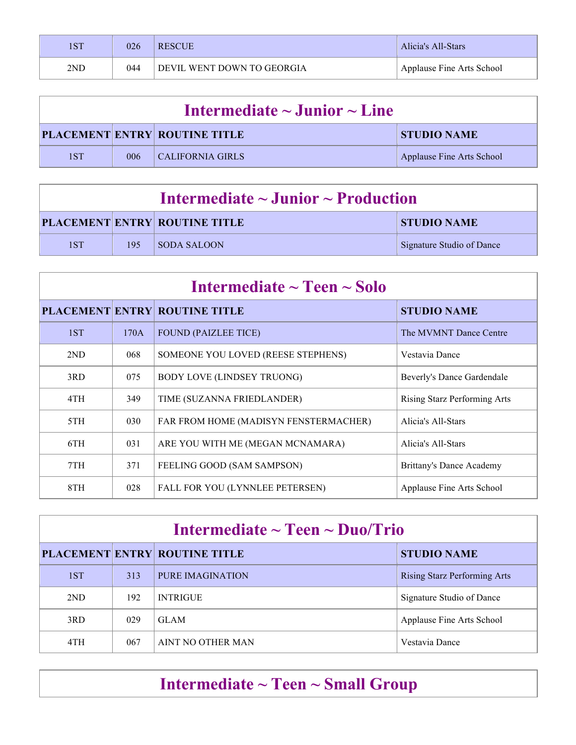| 1ST | 026 | <b>RESCUE</b>              | Alicia's All-Stars        |
|-----|-----|----------------------------|---------------------------|
| 2ND | 044 | DEVIL WENT DOWN TO GEORGIA | Applause Fine Arts School |

| Intermediate $\sim$ Junior $\sim$ Line |     |                                      |                           |
|----------------------------------------|-----|--------------------------------------|---------------------------|
|                                        |     | <b>PLACEMENT ENTRY ROUTINE TITLE</b> | STUDIO NAME               |
| 1ST                                    | 006 | CALIFORNIA GIRLS                     | Applause Fine Arts School |

| Intermediate $\sim$ Junior $\sim$ Production |     |                                      |                           |
|----------------------------------------------|-----|--------------------------------------|---------------------------|
|                                              |     | <b>PLACEMENT ENTRY ROUTINE TITLE</b> | <b>STUDIO NAME</b>        |
| 1ST                                          | 195 | <b>SODA SALOON</b>                   | Signature Studio of Dance |

| Intermediate $\sim$ Teen $\sim$ Solo |      |                                       |                                 |  |
|--------------------------------------|------|---------------------------------------|---------------------------------|--|
|                                      |      | <b>PLACEMENT ENTRY ROUTINE TITLE</b>  | <b>STUDIO NAME</b>              |  |
| 1ST                                  | 170A | <b>FOUND (PAIZLEE TICE)</b>           | The MVMNT Dance Centre          |  |
| 2ND                                  | 068  | SOMEONE YOU LOVED (REESE STEPHENS)    | Vestavia Dance                  |  |
| 3RD                                  | 075  | <b>BODY LOVE (LINDSEY TRUONG)</b>     | Beverly's Dance Gardendale      |  |
| 4TH                                  | 349  | TIME (SUZANNA FRIEDLANDER)            | Rising Starz Performing Arts    |  |
| 5TH                                  | 030  | FAR FROM HOME (MADISYN FENSTERMACHER) | Alicia's All-Stars              |  |
| 6TH                                  | 031  | ARE YOU WITH ME (MEGAN MCNAMARA)      | Alicia's All-Stars              |  |
| 7TH                                  | 371  | FEELING GOOD (SAM SAMPSON)            | <b>Brittany's Dance Academy</b> |  |
| 8TH                                  | 028  | FALL FOR YOU (LYNNLEE PETERSEN)       | Applause Fine Arts School       |  |

| Intermediate $\sim$ Teen $\sim$ Duo/Trio |     |                                      |                                     |  |
|------------------------------------------|-----|--------------------------------------|-------------------------------------|--|
|                                          |     | <b>PLACEMENT ENTRY ROUTINE TITLE</b> | <b>STUDIO NAME</b>                  |  |
| 1ST                                      | 313 | <b>PURE IMAGINATION</b>              | <b>Rising Starz Performing Arts</b> |  |
| 2ND                                      | 192 | <b>INTRIGUE</b>                      | Signature Studio of Dance           |  |
| 3RD                                      | 029 | <b>GLAM</b>                          | Applause Fine Arts School           |  |
| 4TH                                      | 067 | AINT NO OTHER MAN                    | Vestavia Dance                      |  |

## **Intermediate ~ Teen ~ Small Group**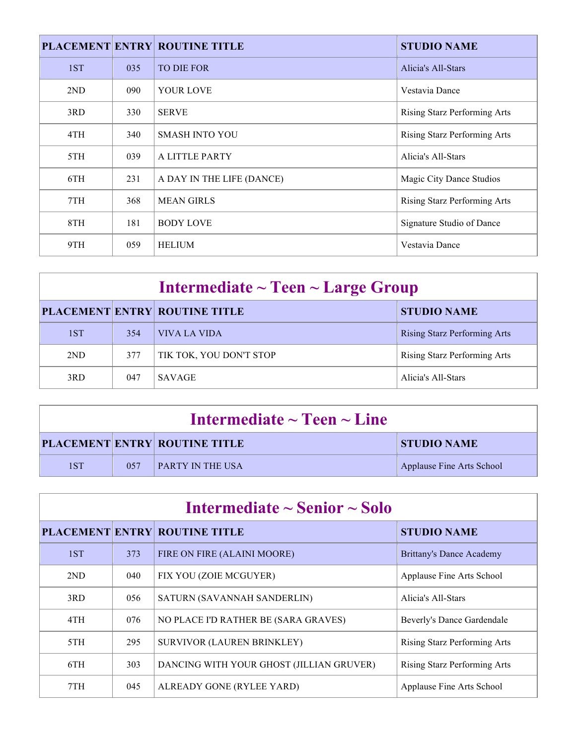|     |     | <b>PLACEMENT ENTRY ROUTINE TITLE</b> | <b>STUDIO NAME</b>                  |
|-----|-----|--------------------------------------|-------------------------------------|
| 1ST | 035 | TO DIE FOR                           | Alicia's All-Stars                  |
| 2ND | 090 | <b>YOUR LOVE</b>                     | Vestavia Dance                      |
| 3RD | 330 | <b>SERVE</b>                         | <b>Rising Starz Performing Arts</b> |
| 4TH | 340 | <b>SMASH INTO YOU</b>                | <b>Rising Starz Performing Arts</b> |
| 5TH | 039 | A LITTLE PARTY                       | Alicia's All-Stars                  |
| 6TH | 231 | A DAY IN THE LIFE (DANCE)            | Magic City Dance Studios            |
| 7TH | 368 | <b>MEAN GIRLS</b>                    | <b>Rising Starz Performing Arts</b> |
| 8TH | 181 | <b>BODY LOVE</b>                     | Signature Studio of Dance           |
| 9TH | 059 | <b>HELIUM</b>                        | Vestavia Dance                      |

| Intermediate $\sim$ Teen $\sim$ Large Group |     |                                      |                                     |  |
|---------------------------------------------|-----|--------------------------------------|-------------------------------------|--|
|                                             |     | <b>PLACEMENT ENTRY ROUTINE TITLE</b> | <b>STUDIO NAME</b>                  |  |
| 1ST                                         | 354 | VIVA LA VIDA                         | <b>Rising Starz Performing Arts</b> |  |
| 2ND                                         | 377 | TIK TOK, YOU DON'T STOP              | <b>Rising Starz Performing Arts</b> |  |
| 3RD                                         | 047 | <b>SAVAGE</b>                        | Alicia's All-Stars                  |  |

|     |     | Intermediate $\sim$ Teen $\sim$ Line |                           |
|-----|-----|--------------------------------------|---------------------------|
|     |     | <b>PLACEMENT ENTRY ROUTINE TITLE</b> | <b>STUDIO NAME</b>        |
| 1ST | 057 | <b>PARTY IN THE USA</b>              | Applause Fine Arts School |

| Intermediate $\sim$ Senior $\sim$ Solo    |                                             |                                          |                                     |
|-------------------------------------------|---------------------------------------------|------------------------------------------|-------------------------------------|
| <b>PLACEMENT ENTRY ROUTINE TITLE</b>      |                                             | <b>STUDIO NAME</b>                       |                                     |
| 1ST<br>373<br>FIRE ON FIRE (ALAINI MOORE) |                                             | Brittany's Dance Academy                 |                                     |
| 2ND                                       | 040                                         | FIX YOU (ZOIE MCGUYER)                   | Applause Fine Arts School           |
| 3RD<br>056                                |                                             | SATURN (SAVANNAH SANDERLIN)              | Alicia's All-Stars                  |
| 4TH                                       | NO PLACE I'D RATHER BE (SARA GRAVES)<br>076 |                                          | Beverly's Dance Gardendale          |
| 5TH                                       | 295                                         | <b>SURVIVOR (LAUREN BRINKLEY)</b>        | <b>Rising Starz Performing Arts</b> |
| 6TH                                       | 303                                         | DANCING WITH YOUR GHOST (JILLIAN GRUVER) | <b>Rising Starz Performing Arts</b> |
| 7TH                                       | 045                                         | ALREADY GONE (RYLEE YARD)                | Applause Fine Arts School           |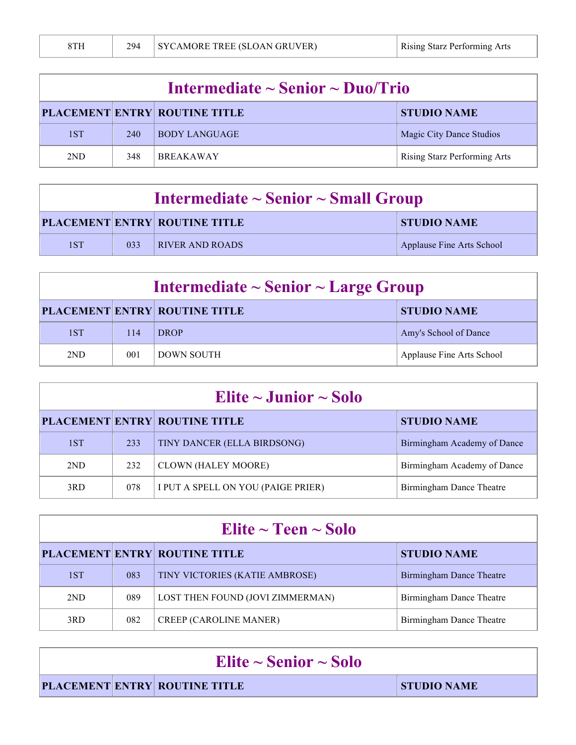|--|

|     | Intermediate $\sim$ Senior $\sim$ Duo/Trio |                                      |                                     |
|-----|--------------------------------------------|--------------------------------------|-------------------------------------|
|     |                                            | <b>PLACEMENT ENTRY ROUTINE TITLE</b> | <b>STUDIO NAME</b>                  |
| 1ST | 240                                        | <b>BODY LANGUAGE</b>                 | Magic City Dance Studios            |
| 2ND | 348                                        | <b>BREAKAWAY</b>                     | <b>Rising Starz Performing Arts</b> |

| Intermediate $\sim$ Senior $\sim$ Small Group |     |                                      |                           |
|-----------------------------------------------|-----|--------------------------------------|---------------------------|
|                                               |     | <b>PLACEMENT ENTRY ROUTINE TITLE</b> | <b>STUDIO NAME</b>        |
| 1ST                                           | 033 | <b>RIVER AND ROADS</b>               | Applause Fine Arts School |

|     | Intermediate $\sim$ Senior $\sim$ Large Group |                                      |                           |
|-----|-----------------------------------------------|--------------------------------------|---------------------------|
|     |                                               | <b>PLACEMENT ENTRY ROUTINE TITLE</b> | <b>STUDIO NAME</b>        |
| 1ST | 114                                           | <b>DROP</b>                          | Amy's School of Dance     |
| 2ND | 001                                           | <b>DOWN SOUTH</b>                    | Applause Fine Arts School |

|            | Elite $\sim$ Junior $\sim$ Solo |                                      |                             |  |
|------------|---------------------------------|--------------------------------------|-----------------------------|--|
|            |                                 | <b>PLACEMENT ENTRY ROUTINE TITLE</b> | <b>STUDIO NAME</b>          |  |
| 1ST<br>233 |                                 | TINY DANCER (ELLA BIRDSONG)          | Birmingham Academy of Dance |  |
| 2ND        | 232                             | <b>CLOWN (HALEY MOORE)</b>           | Birmingham Academy of Dance |  |
| 3RD        | 078                             | I PUT A SPELL ON YOU (PAIGE PRIER)   | Birmingham Dance Theatre    |  |

| Elite $\sim$ Teen $\sim$ Solo |                                       |                                      |                          |
|-------------------------------|---------------------------------------|--------------------------------------|--------------------------|
|                               |                                       | <b>PLACEMENT ENTRY ROUTINE TITLE</b> | <b>STUDIO NAME</b>       |
| 1ST<br>083                    | <b>TINY VICTORIES (KATIE AMBROSE)</b> | Birmingham Dance Theatre             |                          |
| 2ND                           | 089                                   | LOST THEN FOUND (JOVI ZIMMERMAN)     | Birmingham Dance Theatre |
| 3RD                           | 082                                   | <b>CREEP (CAROLINE MANER)</b>        | Birmingham Dance Theatre |

| Elite $\sim$ Senior $\sim$ Solo      |                    |  |
|--------------------------------------|--------------------|--|
| <b>PLACEMENT ENTRY ROUTINE TITLE</b> | <b>STUDIO NAME</b> |  |